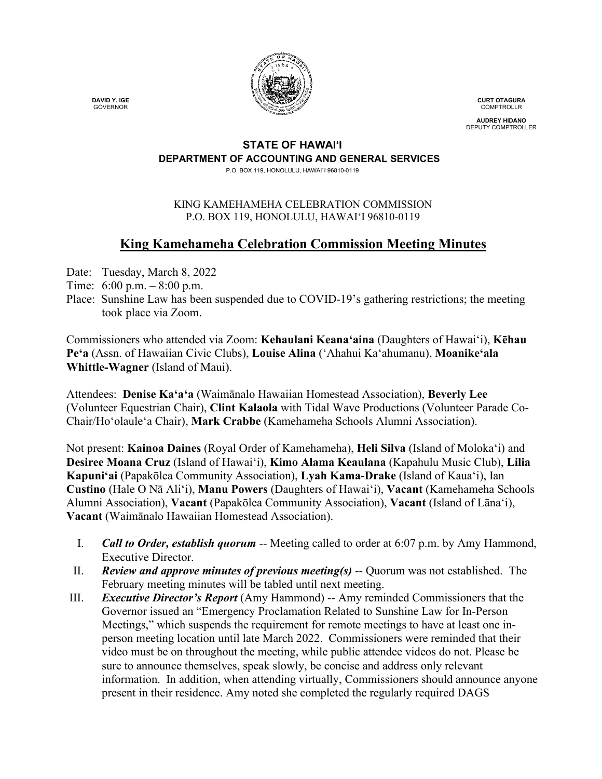

**CURT OTAGURA** COMPTROLLR

**AUDREY HIDANO** DEPUTY COMPTROLLER

#### **STATE OF HAWAI'I DEPARTMENT OF ACCOUNTING AND GENERAL SERVICES**

P.O. BOX 119, HONOLULU, HAWAI`I 96810-0119

### KING KAMEHAMEHA CELEBRATION COMMISSION P.O. BOX 119, HONOLULU, HAWAIʻI 96810-0119

# **King Kamehameha Celebration Commission Meeting Minutes**

Date: Tuesday, March 8, 2022

- Time: 6:00 p.m. 8:00 p.m.
- Place: Sunshine Law has been suspended due to COVID-19's gathering restrictions; the meeting took place via Zoom.

Commissioners who attended via Zoom: **Kehaulani Keana'aina** (Daughters of Hawai'i), **Kēhau Pe'a** (Assn. of Hawaiian Civic Clubs), **Louise Alina** ('Ahahui Kaʻahumanu), **Moanike'ala Whittle-Wagner** (Island of Maui).

Attendees: **Denise Kaʻaʻa** (Waimānalo Hawaiian Homestead Association), **Beverly Lee** (Volunteer Equestrian Chair), **Clint Kalaola** with Tidal Wave Productions (Volunteer Parade Co-Chair/Ho'olaule'a Chair), **Mark Crabbe** (Kamehameha Schools Alumni Association).

Not present: **Kainoa Daines** (Royal Order of Kamehameha), **Heli Silva** (Island of Molokaʻi) and **Desiree Moana Cruz** (Island of Hawai'i), **Kimo Alama Keaulana** (Kapahulu Music Club), **Lilia Kapuniʻai** (Papakōlea Community Association), **Lyah Kama-Drake** (Island of Kaua'i), Ian **Custino** (Hale O Nā Ali'i), **Manu Powers** (Daughters of Hawaiʻi), **Vacant** (Kamehameha Schools Alumni Association), **Vacant** (Papakōlea Community Association), **Vacant** (Island of Lāna'i), **Vacant** (Waimānalo Hawaiian Homestead Association).

- I. *Call to Order, establish quorum* -- Meeting called to order at 6:07 p.m. by Amy Hammond, Executive Director.
- II. *Review and approve minutes of previous meeting(s)* -- Quorum was not established. The February meeting minutes will be tabled until next meeting.
- III. *Executive Director's Report* (Amy Hammond) -- Amy reminded Commissioners that the Governor issued an "Emergency Proclamation Related to Sunshine Law for In-Person Meetings," which suspends the requirement for remote meetings to have at least one inperson meeting location until late March 2022. Commissioners were reminded that their video must be on throughout the meeting, while public attendee videos do not. Please be sure to announce themselves, speak slowly, be concise and address only relevant information. In addition, when attending virtually, Commissioners should announce anyone present in their residence. Amy noted she completed the regularly required DAGS

 **DAVID Y. IGE** GOVERNOR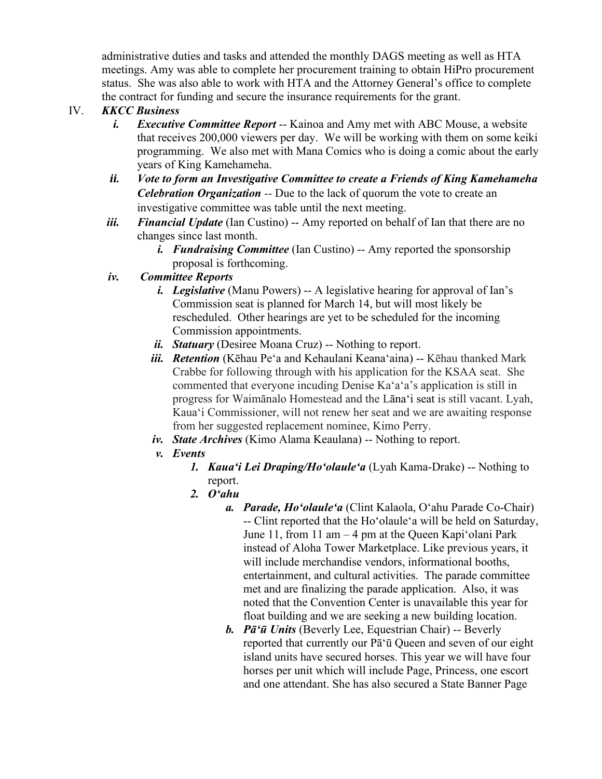administrative duties and tasks and attended the monthly DAGS meeting as well as HTA meetings. Amy was able to complete her procurement training to obtain HiPro procurement status. She was also able to work with HTA and the Attorney General's office to complete the contract for funding and secure the insurance requirements for the grant.

## IV. *KKCC Business*

- *i. Executive Committee Report* -- Kainoa and Amy met with ABC Mouse, a website that receives 200,000 viewers per day. We will be working with them on some keiki programming. We also met with Mana Comics who is doing a comic about the early years of King Kamehameha.
- *ii. Vote to form an Investigative Committee to create a Friends of King Kamehameha Celebration Organization --* Due to the lack of quorum the vote to create an investigative committee was table until the next meeting.
- *iii. Financial Update* (Ian Custino) -- Amy reported on behalf of Ian that there are no changes since last month.
	- *i. Fundraising Committee* (Ian Custino) -- Amy reported the sponsorship proposal is forthcoming.
- *iv. Committee Reports*
	- *i. Legislative* (Manu Powers) -- A legislative hearing for approval of Ian's Commission seat is planned for March 14, but will most likely be rescheduled. Other hearings are yet to be scheduled for the incoming Commission appointments.
	- *ii. Statuary* (Desiree Moana Cruz) -- Nothing to report.
	- *iii. Retention* (Kēhau Pe'a and Kehaulani Keanaʻaina) -- Kēhau thanked Mark Crabbe for following through with his application for the KSAA seat. She commented that everyone incuding Denise Kaʻaʻa's application is still in progress for Waimānalo Homestead and the Lānaʻi seat is still vacant. Lyah, Kauaʻi Commissioner, will not renew her seat and we are awaiting response from her suggested replacement nominee, Kimo Perry.
	- *iv. State Archives* (Kimo Alama Keaulana) -- Nothing to report.
	- *v. Events*
		- *1. Kauaʻi Lei Draping/Hoʻolauleʻa* (Lyah Kama-Drake) -- Nothing to report.
		- *2. Oʻahu*
			- *a. Parade, Hoʻolauleʻa* (Clint Kalaola, Oʻahu Parade Co-Chair) -- Clint reported that the Hoʻolauleʻa will be held on Saturday, June 11, from 11 am – 4 pm at the Queen Kapiʻolani Park instead of Aloha Tower Marketplace. Like previous years, it will include merchandise vendors, informational booths, entertainment, and cultural activities. The parade committee met and are finalizing the parade application. Also, it was noted that the Convention Center is unavailable this year for float building and we are seeking a new building location.
			- *b. Pāʻū Units* (Beverly Lee, Equestrian Chair) -- Beverly reported that currently our Pāʻū Queen and seven of our eight island units have secured horses. This year we will have four horses per unit which will include Page, Princess, one escort and one attendant. She has also secured a State Banner Page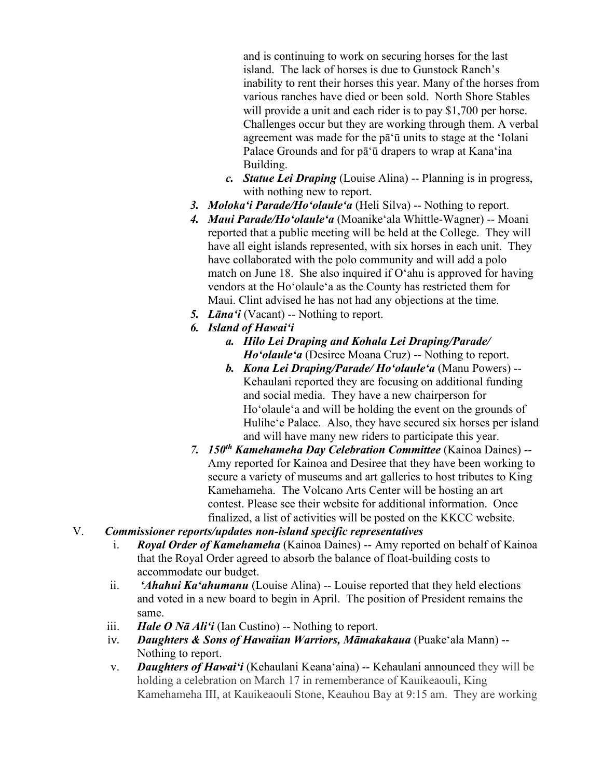and is continuing to work on securing horses for the last island. The lack of horses is due to Gunstock Ranch's inability to rent their horses this year. Many of the horses from various ranches have died or been sold. North Shore Stables will provide a unit and each rider is to pay \$1,700 per horse. Challenges occur but they are working through them. A verbal agreement was made for the pāʻū units to stage at the ʻIolani Palace Grounds and for pāʻū drapers to wrap at Kanaʻina Building.

- *c. Statue Lei Draping* (Louise Alina) -- Planning is in progress, with nothing new to report.
- *3. Molokaʻi Parade/Hoʻolauleʻa* (Heli Silva) -- Nothing to report.
- *4. Maui Parade/Hoʻolauleʻa* (Moanikeʻala Whittle-Wagner) -- Moani reported that a public meeting will be held at the College. They will have all eight islands represented, with six horses in each unit. They have collaborated with the polo community and will add a polo match on June 18. She also inquired if Oʻahu is approved for having vendors at the Hoʻolauleʻa as the County has restricted them for Maui. Clint advised he has not had any objections at the time.
- *5. Lānaʻi* (Vacant) -- Nothing to report.
- *6. Island of Hawaiʻi*
	- *a. Hilo Lei Draping and Kohala Lei Draping/Parade/ Hoʻolauleʻa* (Desiree Moana Cruz) -- Nothing to report.
	- *b. Kona Lei Draping/Parade/ Hoʻolauleʻa* (Manu Powers) -- Kehaulani reported they are focusing on additional funding and social media. They have a new chairperson for Hoʻolauleʻa and will be holding the event on the grounds of Huliheʻe Palace. Also, they have secured six horses per island and will have many new riders to participate this year.
- *7. 150th Kamehameha Day Celebration Committee* (Kainoa Daines) -- Amy reported for Kainoa and Desiree that they have been working to secure a variety of museums and art galleries to host tributes to King Kamehameha. The Volcano Arts Center will be hosting an art contest. Please see their website for additional information. Once finalized, a list of activities will be posted on the KKCC website.

### V.*Commissioner reports/updates non-island specific representatives*

- i. *Royal Order of Kamehameha* (Kainoa Daines) -- Amy reported on behalf of Kainoa that the Royal Order agreed to absorb the balance of float-building costs to accommodate our budget.
- ii. *'Ahahui Ka'ahumanu* (Louise Alina) -- Louise reported that they held elections and voted in a new board to begin in April. The position of President remains the same.
- iii. *Hale O Nā Ali'i* (Ian Custino) -- Nothing to report.
- iv. *Daughters & Sons of Hawaiian Warriors, Māmakakaua* (Puake'ala Mann) -- Nothing to report.
- v. *Daughters of Hawai'i* (Kehaulani Keana'aina) -- Kehaulani announced they will be holding a celebration on March 17 in rememberance of Kauikeaouli, King Kamehameha III, at Kauikeaouli Stone, Keauhou Bay at 9:15 am. They are working